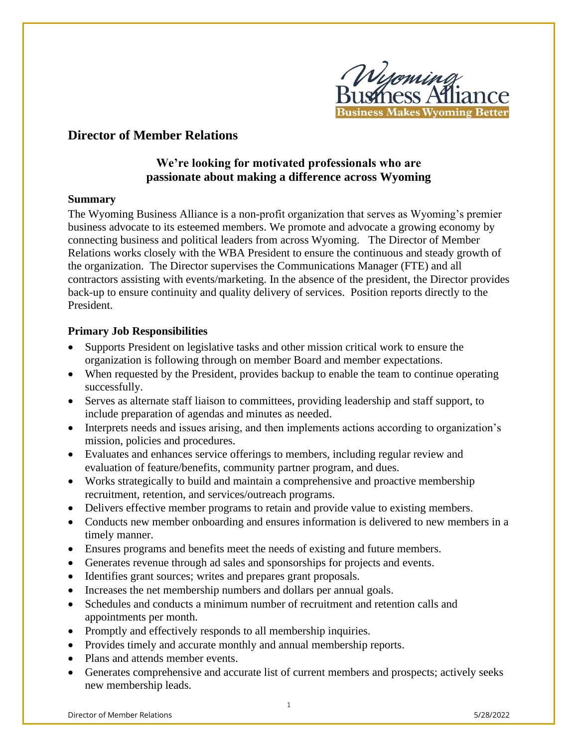

# **Director of Member Relations**

# **We're looking for motivated professionals who are passionate about making a difference across Wyoming**

### **Summary**

The Wyoming Business Alliance is a non-profit organization that serves as Wyoming's premier business advocate to its esteemed members. We promote and advocate a growing economy by connecting business and political leaders from across Wyoming. The Director of Member Relations works closely with the WBA President to ensure the continuous and steady growth of the organization. The Director supervises the Communications Manager (FTE) and all contractors assisting with events/marketing. In the absence of the president, the Director provides back-up to ensure continuity and quality delivery of services. Position reports directly to the President.

## **Primary Job Responsibilities**

- Supports President on legislative tasks and other mission critical work to ensure the organization is following through on member Board and member expectations.
- When requested by the President, provides backup to enable the team to continue operating successfully.
- Serves as alternate staff liaison to committees, providing leadership and staff support, to include preparation of agendas and minutes as needed.
- Interprets needs and issues arising, and then implements actions according to organization's mission, policies and procedures.
- Evaluates and enhances service offerings to members, including regular review and evaluation of feature/benefits, community partner program, and dues.
- Works strategically to build and maintain a comprehensive and proactive membership recruitment, retention, and services/outreach programs.
- Delivers effective member programs to retain and provide value to existing members.
- Conducts new member onboarding and ensures information is delivered to new members in a timely manner.
- Ensures programs and benefits meet the needs of existing and future members.
- Generates revenue through ad sales and sponsorships for projects and events.
- Identifies grant sources; writes and prepares grant proposals.
- Increases the net membership numbers and dollars per annual goals.
- Schedules and conducts a minimum number of recruitment and retention calls and appointments per month.
- Promptly and effectively responds to all membership inquiries.
- Provides timely and accurate monthly and annual membership reports.
- Plans and attends member events.
- Generates comprehensive and accurate list of current members and prospects; actively seeks new membership leads.